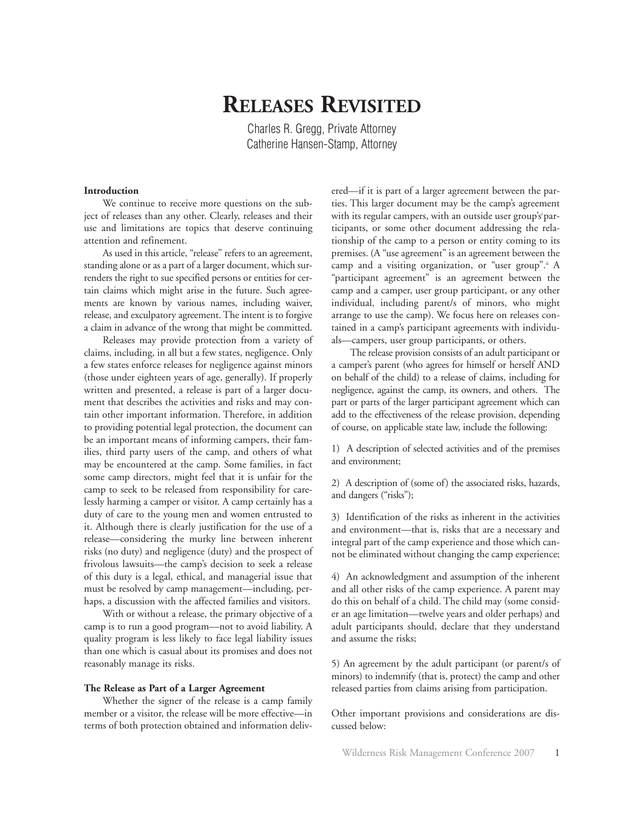# **RELEASES REVISITED**

Charles R. Gregg, Private Attorney Catherine Hansen-Stamp, Attorney

#### **Introduction**

We continue to receive more questions on the subject of releases than any other. Clearly, releases and their use and limitations are topics that deserve continuing attention and refinement.

As used in this article, "release" refers to an agreement, standing alone or as a part of a larger document, which surrenders the right to sue specified persons or entities for certain claims which might arise in the future. Such agreements are known by various names, including waiver, release, and exculpatory agreement. The intent is to forgive a claim in advance of the wrong that might be committed.

Releases may provide protection from a variety of claims, including, in all but a few states, negligence. Only a few states enforce releases for negligence against minors (those under eighteen years of age, generally). If properly written and presented, a release is part of a larger document that describes the activities and risks and may contain other important information. Therefore, in addition to providing potential legal protection, the document can be an important means of informing campers, their families, third party users of the camp, and others of what may be encountered at the camp. Some families, in fact some camp directors, might feel that it is unfair for the camp to seek to be released from responsibility for carelessly harming a camper or visitor. A camp certainly has a duty of care to the young men and women entrusted to it. Although there is clearly justification for the use of a release—considering the murky line between inherent risks (no duty) and negligence (duty) and the prospect of frivolous lawsuits—the camp's decision to seek a release of this duty is a legal, ethical, and managerial issue that must be resolved by camp management—including, perhaps, a discussion with the affected families and visitors.

With or without a release, the primary objective of a camp is to run a good program—not to avoid liability. A quality program is less likely to face legal liability issues than one which is casual about its promises and does not reasonably manage its risks.

#### **The Release as Part of a Larger Agreement**

Whether the signer of the release is a camp family member or a visitor, the release will be more effective—in terms of both protection obtained and information deliv-

ered—if it is part of a larger agreement between the parties. This larger document may be the camp's agreement with its regular campers, with an outside user group'si participants, or some other document addressing the relationship of the camp to a person or entity coming to its premises. (A "use agreement" is an agreement between the camp and a visiting organization, or "user group".<sup>"</sup> A "participant agreement" is an agreement between the camp and a camper, user group participant, or any other individual, including parent/s of minors, who might arrange to use the camp). We focus here on releases contained in a camp's participant agreements with individuals—campers, user group participants, or others.

The release provision consists of an adult participant or a camper's parent (who agrees for himself or herself AND on behalf of the child) to a release of claims, including for negligence, against the camp, its owners, and others. The part or parts of the larger participant agreement which can add to the effectiveness of the release provision, depending of course, on applicable state law, include the following:

1) A description of selected activities and of the premises and environment;

2) A description of (some of) the associated risks, hazards, and dangers ("risks");

3) Identification of the risks as inherent in the activities and environment—that is, risks that are a necessary and integral part of the camp experience and those which cannot be eliminated without changing the camp experience;

4) An acknowledgment and assumption of the inherent and all other risks of the camp experience. A parent may do this on behalf of a child. The child may (some consider an age limitation—twelve years and older perhaps) and adult participants should, declare that they understand and assume the risks;

5) An agreement by the adult participant (or parent/s of minors) to indemnify (that is, protect) the camp and other released parties from claims arising from participation.

Other important provisions and considerations are discussed below: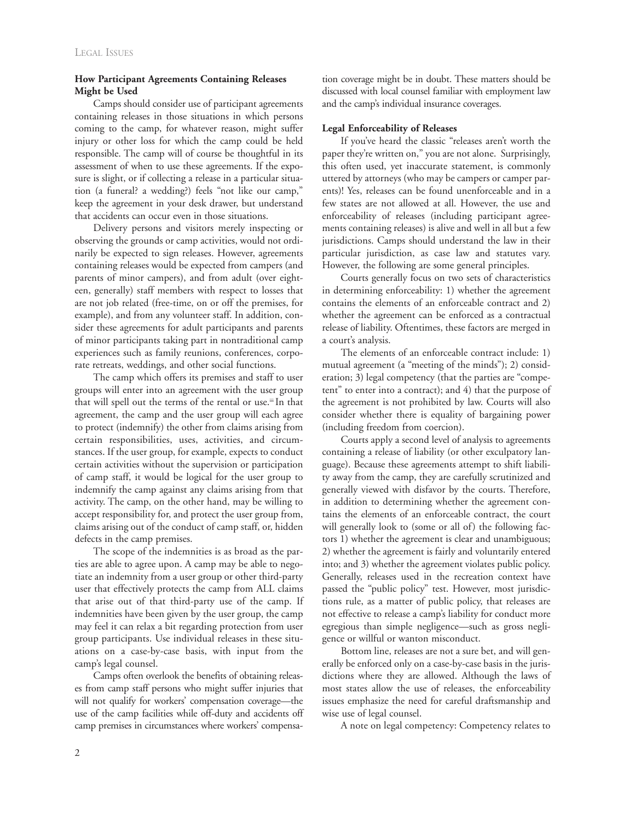## **How Participant Agreements Containing Releases Might be Used**

Camps should consider use of participant agreements containing releases in those situations in which persons coming to the camp, for whatever reason, might suffer injury or other loss for which the camp could be held responsible. The camp will of course be thoughtful in its assessment of when to use these agreements. If the exposure is slight, or if collecting a release in a particular situation (a funeral? a wedding?) feels "not like our camp," keep the agreement in your desk drawer, but understand that accidents can occur even in those situations.

Delivery persons and visitors merely inspecting or observing the grounds or camp activities, would not ordinarily be expected to sign releases. However, agreements containing releases would be expected from campers (and parents of minor campers), and from adult (over eighteen, generally) staff members with respect to losses that are not job related (free-time, on or off the premises, for example), and from any volunteer staff. In addition, consider these agreements for adult participants and parents of minor participants taking part in nontraditional camp experiences such as family reunions, conferences, corporate retreats, weddings, and other social functions.

The camp which offers its premises and staff to user groups will enter into an agreement with the user group that will spell out the terms of the rental or use.<sup>ii</sup> In that agreement, the camp and the user group will each agree to protect (indemnify) the other from claims arising from certain responsibilities, uses, activities, and circumstances. If the user group, for example, expects to conduct certain activities without the supervision or participation of camp staff, it would be logical for the user group to indemnify the camp against any claims arising from that activity. The camp, on the other hand, may be willing to accept responsibility for, and protect the user group from, claims arising out of the conduct of camp staff, or, hidden defects in the camp premises.

The scope of the indemnities is as broad as the parties are able to agree upon. A camp may be able to negotiate an indemnity from a user group or other third-party user that effectively protects the camp from ALL claims that arise out of that third-party use of the camp. If indemnities have been given by the user group, the camp may feel it can relax a bit regarding protection from user group participants. Use individual releases in these situations on a case-by-case basis, with input from the camp's legal counsel.

Camps often overlook the benefits of obtaining releases from camp staff persons who might suffer injuries that will not qualify for workers' compensation coverage—the use of the camp facilities while off-duty and accidents off camp premises in circumstances where workers' compensation coverage might be in doubt. These matters should be discussed with local counsel familiar with employment law and the camp's individual insurance coverages.

### **Legal Enforceability of Releases**

If you've heard the classic "releases aren't worth the paper they're written on," you are not alone. Surprisingly, this often used, yet inaccurate statement, is commonly uttered by attorneys (who may be campers or camper parents)! Yes, releases can be found unenforceable and in a few states are not allowed at all. However, the use and enforceability of releases (including participant agreements containing releases) is alive and well in all but a few jurisdictions. Camps should understand the law in their particular jurisdiction, as case law and statutes vary. However, the following are some general principles.

Courts generally focus on two sets of characteristics in determining enforceability: 1) whether the agreement contains the elements of an enforceable contract and 2) whether the agreement can be enforced as a contractual release of liability. Oftentimes, these factors are merged in a court's analysis.

The elements of an enforceable contract include: 1) mutual agreement (a "meeting of the minds"); 2) consideration; 3) legal competency (that the parties are "competent" to enter into a contract); and 4) that the purpose of the agreement is not prohibited by law. Courts will also consider whether there is equality of bargaining power (including freedom from coercion).

Courts apply a second level of analysis to agreements containing a release of liability (or other exculpatory language). Because these agreements attempt to shift liability away from the camp, they are carefully scrutinized and generally viewed with disfavor by the courts. Therefore, in addition to determining whether the agreement contains the elements of an enforceable contract, the court will generally look to (some or all of) the following factors 1) whether the agreement is clear and unambiguous; 2) whether the agreement is fairly and voluntarily entered into; and 3) whether the agreement violates public policy. Generally, releases used in the recreation context have passed the "public policy" test. However, most jurisdictions rule, as a matter of public policy, that releases are not effective to release a camp's liability for conduct more egregious than simple negligence—such as gross negligence or willful or wanton misconduct.

Bottom line, releases are not a sure bet, and will generally be enforced only on a case-by-case basis in the jurisdictions where they are allowed. Although the laws of most states allow the use of releases, the enforceability issues emphasize the need for careful draftsmanship and wise use of legal counsel.

A note on legal competency: Competency relates to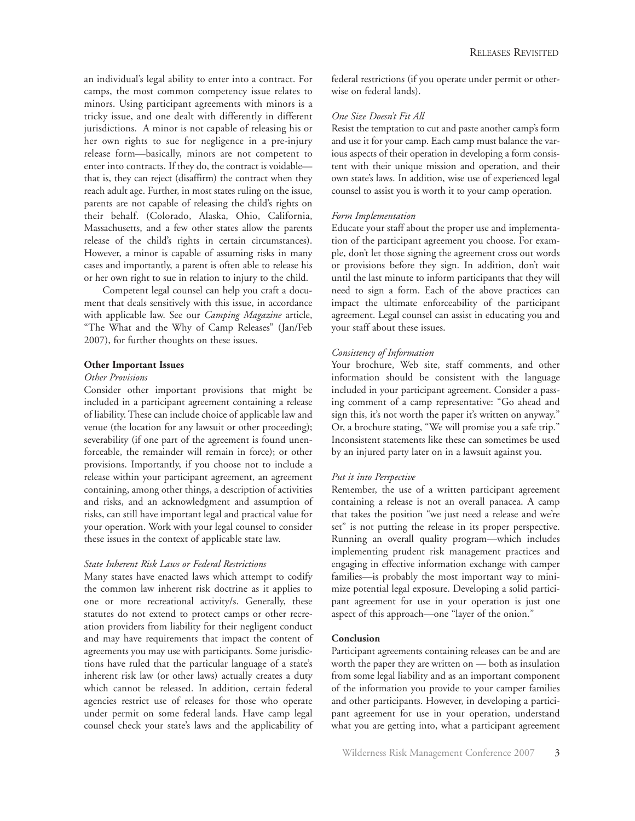an individual's legal ability to enter into a contract. For camps, the most common competency issue relates to minors. Using participant agreements with minors is a tricky issue, and one dealt with differently in different jurisdictions. A minor is not capable of releasing his or her own rights to sue for negligence in a pre-injury release form—basically, minors are not competent to enter into contracts. If they do, the contract is voidable that is, they can reject (disaffirm) the contract when they reach adult age. Further, in most states ruling on the issue, parents are not capable of releasing the child's rights on their behalf. (Colorado, Alaska, Ohio, California, Massachusetts, and a few other states allow the parents release of the child's rights in certain circumstances). However, a minor is capable of assuming risks in many cases and importantly, a parent is often able to release his or her own right to sue in relation to injury to the child.

Competent legal counsel can help you craft a document that deals sensitively with this issue, in accordance with applicable law. See our *Camping Magazine* article, "The What and the Why of Camp Releases" (Jan/Feb 2007), for further thoughts on these issues.

## **Other Important Issues**

#### *Other Provisions*

Consider other important provisions that might be included in a participant agreement containing a release of liability. These can include choice of applicable law and venue (the location for any lawsuit or other proceeding); severability (if one part of the agreement is found unenforceable, the remainder will remain in force); or other provisions. Importantly, if you choose not to include a release within your participant agreement, an agreement containing, among other things, a description of activities and risks, and an acknowledgment and assumption of risks, can still have important legal and practical value for your operation. Work with your legal counsel to consider these issues in the context of applicable state law.

# *State Inherent Risk Laws or Federal Restrictions*

Many states have enacted laws which attempt to codify the common law inherent risk doctrine as it applies to one or more recreational activity/s. Generally, these statutes do not extend to protect camps or other recreation providers from liability for their negligent conduct and may have requirements that impact the content of agreements you may use with participants. Some jurisdictions have ruled that the particular language of a state's inherent risk law (or other laws) actually creates a duty which cannot be released. In addition, certain federal agencies restrict use of releases for those who operate under permit on some federal lands. Have camp legal counsel check your state's laws and the applicability of federal restrictions (if you operate under permit or otherwise on federal lands).

# *One Size Doesn't Fit All*

Resist the temptation to cut and paste another camp's form and use it for your camp. Each camp must balance the various aspects of their operation in developing a form consistent with their unique mission and operation, and their own state's laws. In addition, wise use of experienced legal counsel to assist you is worth it to your camp operation.

## *Form Implementation*

Educate your staff about the proper use and implementation of the participant agreement you choose. For example, don't let those signing the agreement cross out words or provisions before they sign. In addition, don't wait until the last minute to inform participants that they will need to sign a form. Each of the above practices can impact the ultimate enforceability of the participant agreement. Legal counsel can assist in educating you and your staff about these issues.

# *Consistency of Information*

Your brochure, Web site, staff comments, and other information should be consistent with the language included in your participant agreement. Consider a passing comment of a camp representative: "Go ahead and sign this, it's not worth the paper it's written on anyway." Or, a brochure stating, "We will promise you a safe trip." Inconsistent statements like these can sometimes be used by an injured party later on in a lawsuit against you.

# *Put it into Perspective*

Remember, the use of a written participant agreement containing a release is not an overall panacea. A camp that takes the position "we just need a release and we're set" is not putting the release in its proper perspective. Running an overall quality program—which includes implementing prudent risk management practices and engaging in effective information exchange with camper families—is probably the most important way to minimize potential legal exposure. Developing a solid participant agreement for use in your operation is just one aspect of this approach—one "layer of the onion."

## **Conclusion**

Participant agreements containing releases can be and are worth the paper they are written on — both as insulation from some legal liability and as an important component of the information you provide to your camper families and other participants. However, in developing a participant agreement for use in your operation, understand what you are getting into, what a participant agreement